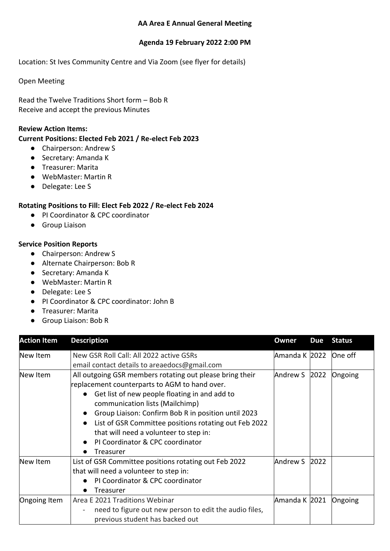## **AA Area E Annual General Meeting**

#### **Agenda 19 February 2022 2:00 PM**

Location: St Ives Community Centre and Via Zoom (see flyer for details)

Open Meeting

Read the Twelve Traditions Short form – Bob R Receive and accept the previous Minutes

#### **Review Action Items:**

## **Current Positions: Elected Feb 2021 / Re-elect Feb 2023**

- Chairperson: Andrew S
- Secretary: Amanda K
- Treasurer: Marita
- WebMaster: Martin R
- Delegate: Lee S

## **Rotating Positions to Fill: Elect Feb 2022 / Re-elect Feb 2024**

- PI Coordinator & CPC coordinator
- Group Liaison

## **Service Position Reports**

- Chairperson: Andrew S
- Alternate Chairperson: Bob R
- Secretary: Amanda K
- WebMaster: Martin R
- Delegate: Lee S
- PI Coordinator & CPC coordinator: John B
- Treasurer: Marita
- Group Liaison: Bob R

| <b>Action Item</b> | <b>Description</b>                                                                                                                                                                                                                                                                                                                                                                                       | Owner         | <b>Due</b> | <b>Status</b> |
|--------------------|----------------------------------------------------------------------------------------------------------------------------------------------------------------------------------------------------------------------------------------------------------------------------------------------------------------------------------------------------------------------------------------------------------|---------------|------------|---------------|
| New Item           | New GSR Roll Call: All 2022 active GSRs<br>email contact details to areaedocs@gmail.com                                                                                                                                                                                                                                                                                                                  | Amanda K 2022 |            | One off       |
| New Item           | All outgoing GSR members rotating out please bring their<br>replacement counterparts to AGM to hand over.<br>Get list of new people floating in and add to<br>communication lists (Mailchimp)<br>Group Liaison: Confirm Bob R in position until 2023<br>List of GSR Committee positions rotating out Feb 2022<br>that will need a volunteer to step in:<br>PI Coordinator & CPC coordinator<br>Treasurer | Andrew S 2022 |            | Ongoing       |
| New Item           | List of GSR Committee positions rotating out Feb 2022<br>that will need a volunteer to step in:<br>PI Coordinator & CPC coordinator<br>Treasurer                                                                                                                                                                                                                                                         | Andrew S      | 2022       |               |
| Ongoing Item       | Area E 2021 Traditions Webinar<br>need to figure out new person to edit the audio files,<br>previous student has backed out                                                                                                                                                                                                                                                                              | Amanda K 2021 |            | Ongoing       |